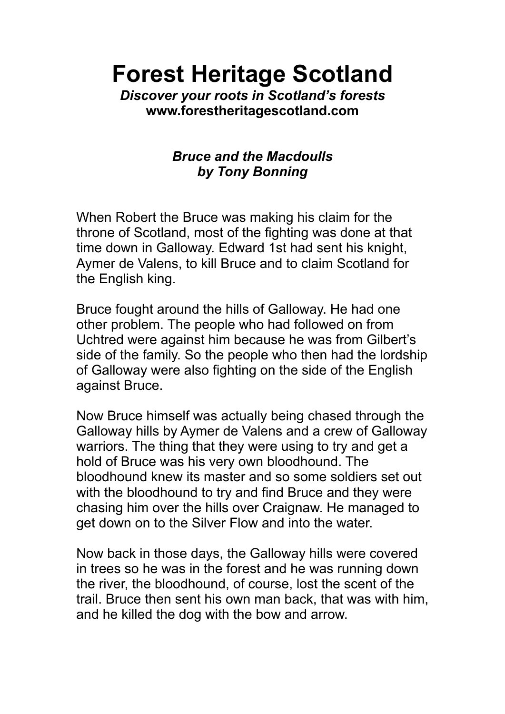**Forest Heritage Scotland**

*Discover your roots in Scotland's forests* **www.forestheritagescotland.com**

## *Bruce and the Macdoulls by Tony Bonning*

When Robert the Bruce was making his claim for the throne of Scotland, most of the fighting was done at that time down in Galloway. Edward 1st had sent his knight, Aymer de Valens, to kill Bruce and to claim Scotland for the English king.

Bruce fought around the hills of Galloway. He had one other problem. The people who had followed on from Uchtred were against him because he was from Gilbert's side of the family. So the people who then had the lordship of Galloway were also fighting on the side of the English against Bruce.

Now Bruce himself was actually being chased through the Galloway hills by Aymer de Valens and a crew of Galloway warriors. The thing that they were using to try and get a hold of Bruce was his very own bloodhound. The bloodhound knew its master and so some soldiers set out with the bloodhound to try and find Bruce and they were chasing him over the hills over Craignaw. He managed to get down on to the Silver Flow and into the water.

Now back in those days, the Galloway hills were covered in trees so he was in the forest and he was running down the river, the bloodhound, of course, lost the scent of the trail. Bruce then sent his own man back, that was with him, and he killed the dog with the bow and arrow.